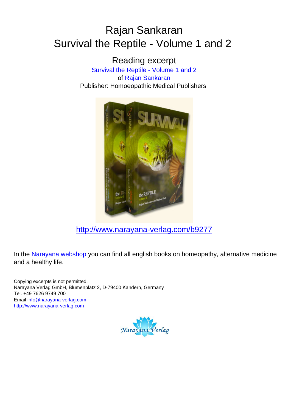## Rajan Sankaran Survival the Reptile - Volume 1 and 2

Reading excerpt [Survival the Reptile - Volume 1 and 2](http://www.narayana-verlag.com/Survival-the-Reptile-Volume-1-and-2-Rajan-Sankaran/b9277/partner/leseprobe) of [Rajan Sankaran](http://www.narayana-verlag.com/Rajan-Sankaran/a747/partner/leseprobe) Publisher: Homoeopathic Medical Publishers



[http://www.narayana-verlag.com/b9277](http://www.narayana-verlag.com/Survival-the-Reptile-Volume-1-and-2-Rajan-Sankaran/b9277/partner/leseprobe)

In the [Narayana webshop](http://www.narayana-verlag.com/partner/leseprobe) you can find all english books on homeopathy, alternative medicine and a healthy life.

Copying excerpts is not permitted. Narayana Verlag GmbH, Blumenplatz 2, D-79400 Kandern, Germany Tel. +49 7626 9749 700 Email [info@narayana-verlag.com](mailto:info@narayana-verlag.com) [http://www.narayana-verlag.com](http://www.narayana-verlag.com/partner/leseprobe)

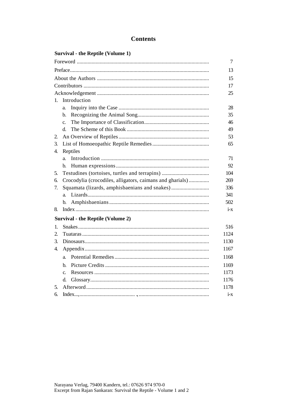## **Survival - the Reptile (Volume 1)**

|                                                                 | 7       |
|-----------------------------------------------------------------|---------|
|                                                                 | 13      |
|                                                                 | 15      |
|                                                                 | 17      |
|                                                                 | 25      |
| Introduction<br>1.                                              |         |
| a.                                                              | 28      |
| b.                                                              | 35      |
| $\mathbf{c}$ .                                                  | 46      |
| d.                                                              | 49      |
| 2.                                                              | 53      |
| 3.                                                              | 65      |
| Reptiles<br>4.                                                  |         |
| a.                                                              | 71      |
| b.                                                              | 92      |
| Testudines (tortoises, turtles and terrapins)<br>5.             | 104     |
| Crocodylia (crocodiles, alligators, caimans and gharials)<br>6. | 269     |
| 7.                                                              | 336     |
| a.                                                              | 341     |
| b.                                                              | 502     |
| 8.                                                              | $i - x$ |
| <b>Survival - the Reptile (Volume 2)</b>                        |         |
| 1.                                                              | 516     |
| 2.                                                              | 1124    |
| 3.                                                              | 1130    |
| 4.                                                              | 1167    |
| a.                                                              | 1168    |
| h.                                                              | 1169    |
| $\mathbf{c}$ .                                                  | 1173    |
| d.                                                              | 1176    |
| 5.                                                              | 1178    |
| 6.                                                              | $i - x$ |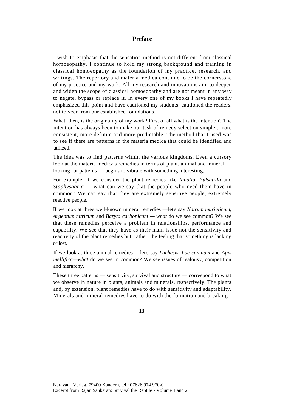## **Preface**

I wish to emphasis that the sensation method is not different from classical homoeopathy. I continue to hold my strong background and training in classical homoeopathy as the foundation of my practice, research, and writings. The repertory and materia medica continue to be the cornerstone of my practice and my work. All my research and innovations aim to deepen and widen the scope of classical homoeopathy and are not meant in any way to negate, bypass or replace it. In every one of my books I have repeatedly emphasized this point and have cautioned my students, cautioned the readers, not to veer from our established foundations.

What, then, is the originality of my work? First of all what is the intention? The intention has always been to make our task of remedy selection simpler, more consistent, more definite and more predictable. The method that I used was to see if there are patterns in the materia medica that could be identified and utilized.

The idea was to find patterns within the various kingdoms. Even a cursory look at the materia medica's remedies in terms of plant, animal and mineral looking for patterns — begins to vibrate with something interesting.

For example, if we consider the plant remedies like *Ignatia, Pulsatilla* and *Staphysagria —* what can we say that the people who need them have in common? We can say that they are extremely sensitive people, extremely reactive people.

If we look at three well-known mineral remedies —let's say *Natrum muriaticum, Argentum nitricum* and *Baryta carbonicum — what* do we see common? We see that these remedies perceive a problem in relationships, performance and capability. We see that they have as their main issue not the sensitivity and reactivity of the plant remedies but, rather, the feeling that something is lacking or lost.

If we look at three animal remedies —let's say *Lachesis, Lac caninum* and *Apis mellifica—what* do we see in common? We see issues of jealousy, competition and hierarchy.

These three patterns — sensitivity, survival and structure — correspond to what we observe in nature in plants, animals and minerals, respectively. The plants and, by extension, plant remedies have to do with sensitivity and adaptability. Minerals and mineral remedies have to do with the formation and breaking

**13**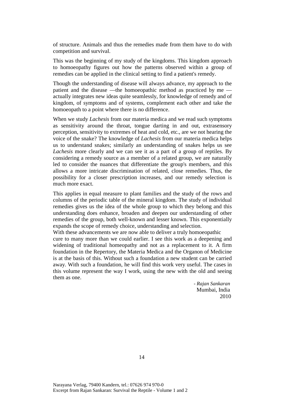of structure. Animals and thus the remedies made from them have to do with competition and survival.

This was the beginning of my study of the kingdoms. This kingdom approach to homoeopathy figures out how the patterns observed within a group of remedies can be applied in the clinical setting to find a patient's remedy.

Though the understanding of disease will always advance, my approach to the patient and the disease —the homoeopathic method as practiced by me actually integrates new ideas quite seamlessly, for knowledge of remedy and of kingdom, of symptoms and of systems, complement each other and take the homoeopath to a point where there is no difference.

When we study *Lachesis* from our materia medica and we read such symptoms as sensitivity around the throat, tongue darting in and out, extrasensory perception, sensitivity to extremes of heat and cold, etc., are we not hearing the voice of the snake? The knowledge of *Lachesis* from our materia medica helps us to understand snakes; similarly an understanding of snakes helps us see *Lachesis* more clearly and we can see it as a part of a group of reptiles. By considering a remedy source as a member of a related group, we are naturally led to consider the nuances that differentiate the group's members, and this allows a more intricate discrimination of related, close remedies. Thus, the possibility for a closer prescription increases, and our remedy selection is much more exact.

This applies in equal measure to plant families and the study of the rows and columns of the periodic table of the mineral kingdom. The study of individual remedies gives us the idea of the whole group to which they belong and this understanding does enhance, broaden and deepen our understanding of other remedies of the group, both well-known and lesser known. This exponentially expands the scope of remedy choice, understanding and selection.

With these advancements we are now able to deliver a truly homoeopathic cure to many more than we could earlier. I see this work as a deepening and widening of traditional homeopathy and not as a replacement to it. A firm foundation in the Repertory, the Materia Medica and the Organon of Medicine is at the basis of this. Without such a foundation a new student can be carried away. With such a foundation, he will find this work very useful. The cases in this volume represent the way I work, using the new with the old and seeing them as one.

> - *Rajan Sankaran* Mumbai, India 2010